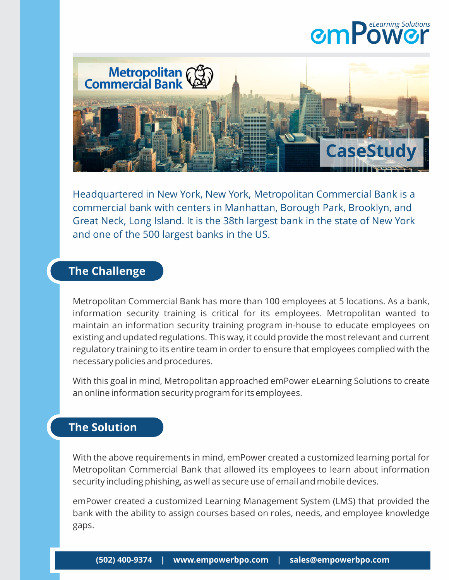## **mPow r** *eLearning Solutions*



Headquartered in New York, New York, Metropolitan Commercial Bank is a commercial bank with centers in Manhattan, Borough Park, Brooklyn, and Great Neck, Long Island. It is the 38th largest bank in the state of New York and one of the 500 largest banks in the US.

## **The Challenge**

Metropolitan Commercial Bank has more than 100 employees at 5 locations. As a bank, information security training is critical for its employees. Metropolitan wanted to maintain an information security training program in-house to educate employees on existing and updated regulations. This way, it could provide the most relevant and current regulatory training to its entire team in order to ensure that employees complied with the necessary policies and procedures.

With this goal in mind, Metropolitan approached emPower eLearning Solutions to create an online information security program for its employees.

## **The Solution**

With the above requirements in mind, emPower created a customized learning portal for Metropolitan Commercial Bank that allowed its employees to learn about information security including phishing, as well as secure use of email and mobile devices.

emPower created a customized Learning Management System (LMS) that provided the bank with the ability to assign courses based on roles, needs, and employee knowledge gaps.